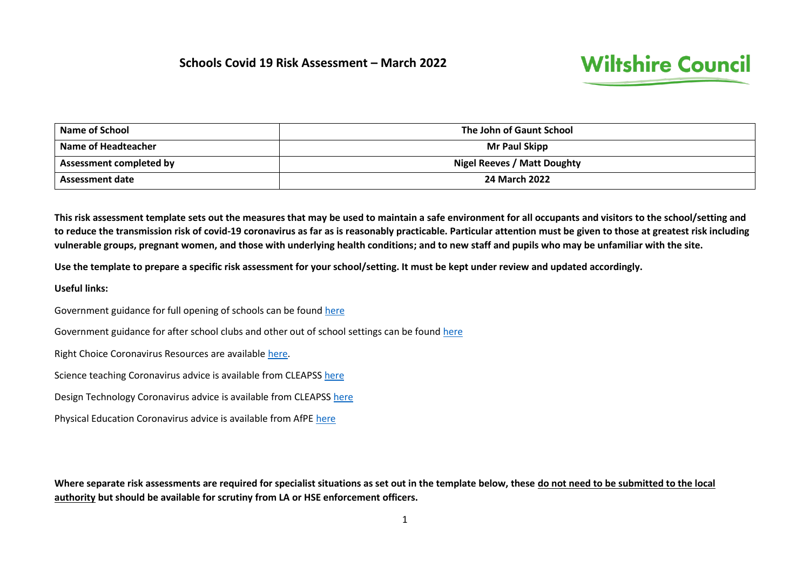

| <b>Name of School</b>   | The John of Gaunt School    |
|-------------------------|-----------------------------|
| Name of Headteacher     | <b>Mr Paul Skipp</b>        |
| Assessment completed by | Nigel Reeves / Matt Doughty |
| <b>Assessment date</b>  | <b>24 March 2022</b>        |

**This risk assessment template sets out the measures that may be used to maintain a safe environment for all occupants and visitors to the school/setting and to reduce the transmission risk of covid-19 coronavirus as far as is reasonably practicable. Particular attention must be given to those at greatest risk including vulnerable groups, pregnant women, and those with underlying health conditions; and to new staff and pupils who may be unfamiliar with the site.**

**Use the template to prepare a specific risk assessment for your school/setting. It must be kept under review and updated accordingly.**

**Useful links:**

Government guidance for full opening of schools can be found [here](https://eur02.safelinks.protection.outlook.com/?url=https%3A%2F%2Fwww.gov.uk%2Fgovernment%2Fpublications%2Factions-for-schools-during-the-coronavirus-outbreak%2Fguidance-for-full-opening-schools&data=02%7C01%7Cann.durbin%40wiltshire.gov.uk%7Cab8e7d513f3d4b720e2108d81e69dd4d%7C5546e75e3be14813b0ff26651ea2fe19%7C0%7C0%7C637292787311482561&sdata=BFgBw8xH8rljnvW5R56a0IAh5dCSfGPRcg58VhifFzw%3D&reserved=0)

Government guidance for after school clubs and other out of school settings can be found [here](https://www.gov.uk/government/publications/protective-measures-for-holiday-or-after-school-clubs-and-other-out-of-school-settings-for-children-during-the-coronavirus-covid-19-outbreak/protective-measures-for-out-of-school-settings-during-the-coronavirus-covid-19-outbreak)

Right Choice Coronavirus Resources are available [here.](https://secure2.sla-online.co.uk/v3/Resources/Page/16834)

Science teaching Coronavirus advice is available from CLEAPSS [here](https://eur02.safelinks.protection.outlook.com/?url=http%3A%2F%2Fscience.cleapss.org.uk%2F&data=02%7C01%7Cpaul.collyer%40wiltshire.gov.uk%7Cc021783494934fd93f8b08d821916dc1%7C5546e75e3be14813b0ff26651ea2fe19%7C0%7C0%7C637296255774485385&sdata=i4monajLdg897wQ9uMHzw58ajei8R70LdCav%2Fg7jMyw%3D&reserved=0)

Design Technology Coronavirus advice is available from CLEAPS[S here](https://eur02.safelinks.protection.outlook.com/?url=http%3A%2F%2Fdt.cleapss.org.uk%2F&data=02%7C01%7Cpaul.collyer%40wiltshire.gov.uk%7Cc021783494934fd93f8b08d821916dc1%7C5546e75e3be14813b0ff26651ea2fe19%7C0%7C0%7C637296255774495381&sdata=WT69RvFYXIi5nGi%2Fh85QPDzXmPIxjrLT0uaCeULy4ss%3D&reserved=0)

Physical Education Coronavirus advice is available from AfPE [here](https://www.afpe.org.uk/physical-education/dfe-guidance-on-the-full-opening-of-schools-in-september/)

**Where separate risk assessments are required for specialist situations as set out in the template below, these do not need to be submitted to the local authority but should be available for scrutiny from LA or HSE enforcement officers.**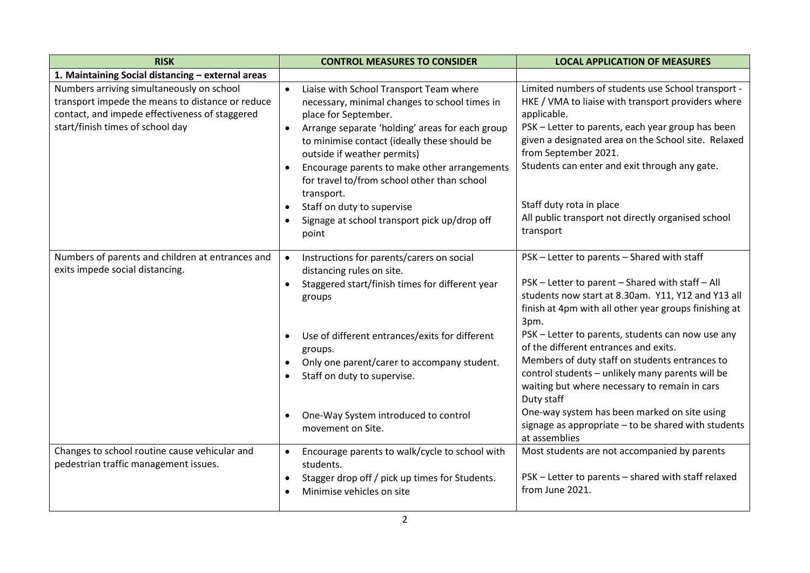| <b>RISK</b>                                                                                                                                                                         | <b>CONTROL MEASURES TO CONSIDER</b>                                                                                                                                                                                                                                                                                                                                                       | <b>LOCAL APPLICATION OF MEASURES</b>                                                                                                                                                                                                                                                                         |
|-------------------------------------------------------------------------------------------------------------------------------------------------------------------------------------|-------------------------------------------------------------------------------------------------------------------------------------------------------------------------------------------------------------------------------------------------------------------------------------------------------------------------------------------------------------------------------------------|--------------------------------------------------------------------------------------------------------------------------------------------------------------------------------------------------------------------------------------------------------------------------------------------------------------|
| 1. Maintaining Social distancing - external areas                                                                                                                                   |                                                                                                                                                                                                                                                                                                                                                                                           |                                                                                                                                                                                                                                                                                                              |
| Numbers arriving simultaneously on school<br>transport impede the means to distance or reduce<br>contact, and impede effectiveness of staggered<br>start/finish times of school day | $\bullet$<br>Liaise with School Transport Team where<br>necessary, minimal changes to school times in<br>place for September.<br>Arrange separate 'holding' areas for each group<br>$\bullet$<br>to minimise contact (ideally these should be<br>outside if weather permits)<br>Encourage parents to make other arrangements<br>for travel to/from school other than school<br>transport. | Limited numbers of students use School transport -<br>HKE / VMA to liaise with transport providers where<br>applicable.<br>PSK - Letter to parents, each year group has been<br>given a designated area on the School site. Relaxed<br>from September 2021.<br>Students can enter and exit through any gate. |
|                                                                                                                                                                                     | Staff on duty to supervise<br>Signage at school transport pick up/drop off<br>$\bullet$<br>point                                                                                                                                                                                                                                                                                          | Staff duty rota in place<br>All public transport not directly organised school<br>transport                                                                                                                                                                                                                  |
| Numbers of parents and children at entrances and<br>exits impede social distancing.                                                                                                 | Instructions for parents/carers on social<br>$\bullet$<br>distancing rules on site.<br>Staggered start/finish times for different year<br>groups                                                                                                                                                                                                                                          | PSK - Letter to parents - Shared with staff<br>PSK - Letter to parent - Shared with staff - All<br>students now start at 8.30am. Y11, Y12 and Y13 all<br>finish at 4pm with all other year groups finishing at<br>3pm.                                                                                       |
|                                                                                                                                                                                     | Use of different entrances/exits for different<br>$\bullet$<br>groups.<br>Only one parent/carer to accompany student.<br>Staff on duty to supervise.<br>$\bullet$                                                                                                                                                                                                                         | PSK - Letter to parents, students can now use any<br>of the different entrances and exits.<br>Members of duty staff on students entrances to<br>control students - unlikely many parents will be<br>waiting but where necessary to remain in cars<br>Duty staff                                              |
|                                                                                                                                                                                     | One-Way System introduced to control<br>$\bullet$<br>movement on Site.                                                                                                                                                                                                                                                                                                                    | One-way system has been marked on site using<br>signage as appropriate - to be shared with students<br>at assemblies                                                                                                                                                                                         |
| Changes to school routine cause vehicular and<br>pedestrian traffic management issues.                                                                                              | Encourage parents to walk/cycle to school with<br>$\bullet$<br>students.<br>Stagger drop off / pick up times for Students.<br>$\bullet$<br>Minimise vehicles on site<br>$\bullet$                                                                                                                                                                                                         | Most students are not accompanied by parents<br>PSK - Letter to parents - shared with staff relaxed<br>from June 2021.                                                                                                                                                                                       |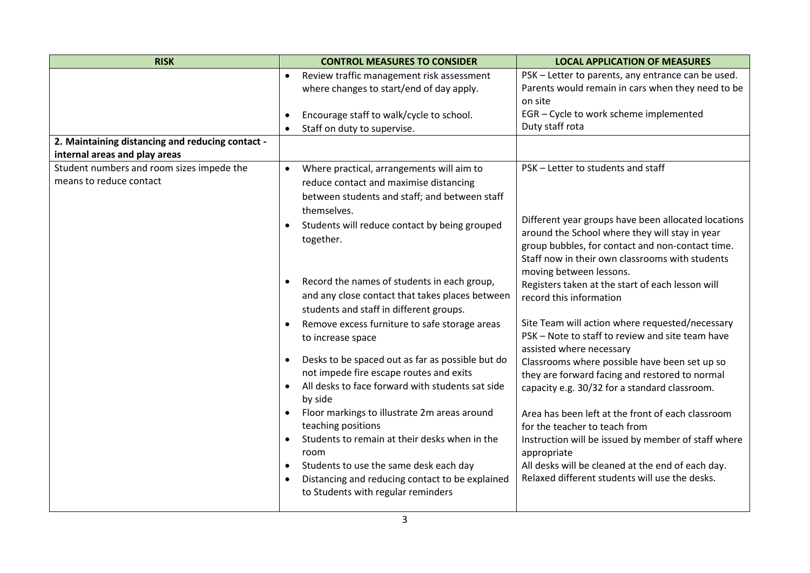| <b>RISK</b>                                      | <b>CONTROL MEASURES TO CONSIDER</b>                           | <b>LOCAL APPLICATION OF MEASURES</b>                                                                |
|--------------------------------------------------|---------------------------------------------------------------|-----------------------------------------------------------------------------------------------------|
|                                                  | Review traffic management risk assessment<br>$\bullet$        | PSK - Letter to parents, any entrance can be used.                                                  |
|                                                  | where changes to start/end of day apply.                      | Parents would remain in cars when they need to be                                                   |
|                                                  |                                                               | on site                                                                                             |
|                                                  | Encourage staff to walk/cycle to school.<br>$\bullet$         | EGR - Cycle to work scheme implemented<br>Duty staff rota                                           |
| 2. Maintaining distancing and reducing contact - | Staff on duty to supervise.<br>$\bullet$                      |                                                                                                     |
| internal areas and play areas                    |                                                               |                                                                                                     |
| Student numbers and room sizes impede the        | Where practical, arrangements will aim to<br>$\bullet$        | PSK - Letter to students and staff                                                                  |
| means to reduce contact                          | reduce contact and maximise distancing                        |                                                                                                     |
|                                                  | between students and staff; and between staff                 |                                                                                                     |
|                                                  | themselves.                                                   |                                                                                                     |
|                                                  | Students will reduce contact by being grouped<br>$\bullet$    | Different year groups have been allocated locations                                                 |
|                                                  | together.                                                     | around the School where they will stay in year                                                      |
|                                                  |                                                               | group bubbles, for contact and non-contact time.<br>Staff now in their own classrooms with students |
|                                                  |                                                               | moving between lessons.                                                                             |
|                                                  | Record the names of students in each group,<br>$\bullet$      | Registers taken at the start of each lesson will                                                    |
|                                                  | and any close contact that takes places between               | record this information                                                                             |
|                                                  | students and staff in different groups.                       |                                                                                                     |
|                                                  | Remove excess furniture to safe storage areas<br>$\bullet$    | Site Team will action where requested/necessary                                                     |
|                                                  | to increase space                                             | PSK - Note to staff to review and site team have                                                    |
|                                                  | Desks to be spaced out as far as possible but do<br>$\bullet$ | assisted where necessary<br>Classrooms where possible have been set up so                           |
|                                                  | not impede fire escape routes and exits                       | they are forward facing and restored to normal                                                      |
|                                                  | All desks to face forward with students sat side<br>$\bullet$ | capacity e.g. 30/32 for a standard classroom.                                                       |
|                                                  | by side                                                       |                                                                                                     |
|                                                  | Floor markings to illustrate 2m areas around                  | Area has been left at the front of each classroom                                                   |
|                                                  | teaching positions                                            | for the teacher to teach from                                                                       |
|                                                  | Students to remain at their desks when in the<br>$\bullet$    | Instruction will be issued by member of staff where                                                 |
|                                                  | room<br>Students to use the same desk each day<br>$\bullet$   | appropriate<br>All desks will be cleaned at the end of each day.                                    |
|                                                  | Distancing and reducing contact to be explained<br>$\bullet$  | Relaxed different students will use the desks.                                                      |
|                                                  | to Students with regular reminders                            |                                                                                                     |
|                                                  |                                                               |                                                                                                     |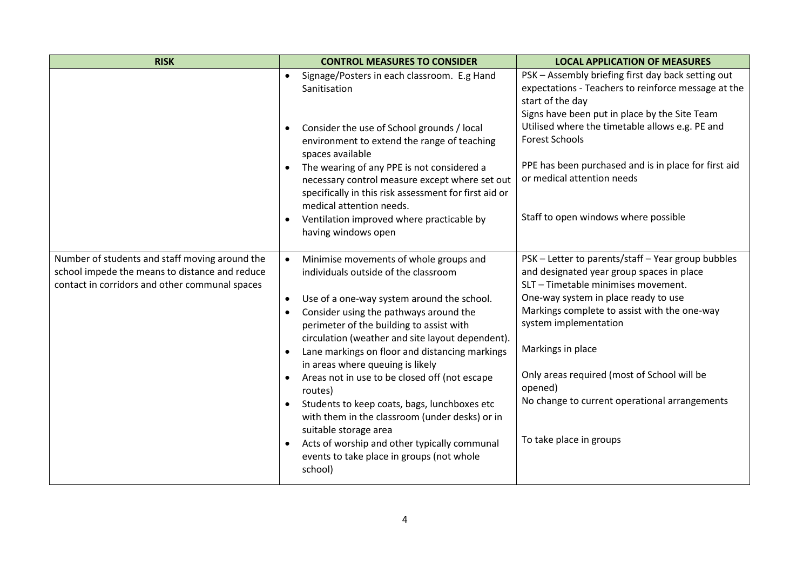| <b>RISK</b>                                                                                                                                        | <b>CONTROL MEASURES TO CONSIDER</b>                                                                                                                                                                                                                                                                                                                                                                                                                                                                                                                                                                                                                                                                                          | <b>LOCAL APPLICATION OF MEASURES</b>                                                                                                                                                                                                                                                                                                                                                                               |
|----------------------------------------------------------------------------------------------------------------------------------------------------|------------------------------------------------------------------------------------------------------------------------------------------------------------------------------------------------------------------------------------------------------------------------------------------------------------------------------------------------------------------------------------------------------------------------------------------------------------------------------------------------------------------------------------------------------------------------------------------------------------------------------------------------------------------------------------------------------------------------------|--------------------------------------------------------------------------------------------------------------------------------------------------------------------------------------------------------------------------------------------------------------------------------------------------------------------------------------------------------------------------------------------------------------------|
|                                                                                                                                                    | Signage/Posters in each classroom. E.g Hand<br>$\bullet$<br>Sanitisation<br>Consider the use of School grounds / local<br>$\bullet$<br>environment to extend the range of teaching<br>spaces available<br>The wearing of any PPE is not considered a<br>necessary control measure except where set out<br>specifically in this risk assessment for first aid or<br>medical attention needs.<br>Ventilation improved where practicable by<br>having windows open                                                                                                                                                                                                                                                              | PSK - Assembly briefing first day back setting out<br>expectations - Teachers to reinforce message at the<br>start of the day<br>Signs have been put in place by the Site Team<br>Utilised where the timetable allows e.g. PE and<br><b>Forest Schools</b><br>PPE has been purchased and is in place for first aid<br>or medical attention needs<br>Staff to open windows where possible                           |
| Number of students and staff moving around the<br>school impede the means to distance and reduce<br>contact in corridors and other communal spaces | Minimise movements of whole groups and<br>$\bullet$<br>individuals outside of the classroom<br>Use of a one-way system around the school.<br>$\bullet$<br>Consider using the pathways around the<br>$\bullet$<br>perimeter of the building to assist with<br>circulation (weather and site layout dependent).<br>Lane markings on floor and distancing markings<br>$\bullet$<br>in areas where queuing is likely<br>Areas not in use to be closed off (not escape<br>routes)<br>Students to keep coats, bags, lunchboxes etc<br>with them in the classroom (under desks) or in<br>suitable storage area<br>Acts of worship and other typically communal<br>$\bullet$<br>events to take place in groups (not whole<br>school) | PSK - Letter to parents/staff - Year group bubbles<br>and designated year group spaces in place<br>SLT - Timetable minimises movement.<br>One-way system in place ready to use<br>Markings complete to assist with the one-way<br>system implementation<br>Markings in place<br>Only areas required (most of School will be<br>opened)<br>No change to current operational arrangements<br>To take place in groups |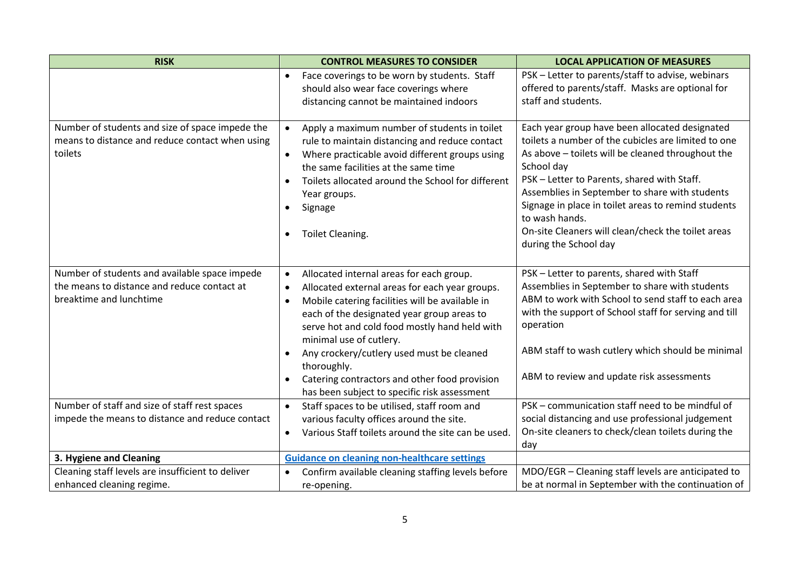| <b>RISK</b>                                                                                                             | <b>CONTROL MEASURES TO CONSIDER</b>                                                                                                                                                                                                                                                                                                                                                                                                                                                                   | <b>LOCAL APPLICATION OF MEASURES</b>                                                                                                                                                                                                                                                                                                                                                                                              |
|-------------------------------------------------------------------------------------------------------------------------|-------------------------------------------------------------------------------------------------------------------------------------------------------------------------------------------------------------------------------------------------------------------------------------------------------------------------------------------------------------------------------------------------------------------------------------------------------------------------------------------------------|-----------------------------------------------------------------------------------------------------------------------------------------------------------------------------------------------------------------------------------------------------------------------------------------------------------------------------------------------------------------------------------------------------------------------------------|
|                                                                                                                         | Face coverings to be worn by students. Staff<br>$\bullet$<br>should also wear face coverings where<br>distancing cannot be maintained indoors                                                                                                                                                                                                                                                                                                                                                         | PSK - Letter to parents/staff to advise, webinars<br>offered to parents/staff. Masks are optional for<br>staff and students.                                                                                                                                                                                                                                                                                                      |
| Number of students and size of space impede the<br>means to distance and reduce contact when using<br>toilets           | Apply a maximum number of students in toilet<br>rule to maintain distancing and reduce contact<br>Where practicable avoid different groups using<br>$\bullet$<br>the same facilities at the same time<br>Toilets allocated around the School for different<br>$\bullet$<br>Year groups.<br>Signage<br>$\bullet$<br>Toilet Cleaning.<br>٠                                                                                                                                                              | Each year group have been allocated designated<br>toilets a number of the cubicles are limited to one<br>As above - toilets will be cleaned throughout the<br>School day<br>PSK - Letter to Parents, shared with Staff.<br>Assemblies in September to share with students<br>Signage in place in toilet areas to remind students<br>to wash hands.<br>On-site Cleaners will clean/check the toilet areas<br>during the School day |
| Number of students and available space impede<br>the means to distance and reduce contact at<br>breaktime and lunchtime | Allocated internal areas for each group.<br>$\bullet$<br>Allocated external areas for each year groups.<br>$\bullet$<br>Mobile catering facilities will be available in<br>$\bullet$<br>each of the designated year group areas to<br>serve hot and cold food mostly hand held with<br>minimal use of cutlery.<br>Any crockery/cutlery used must be cleaned<br>$\bullet$<br>thoroughly.<br>Catering contractors and other food provision<br>$\bullet$<br>has been subject to specific risk assessment | PSK - Letter to parents, shared with Staff<br>Assemblies in September to share with students<br>ABM to work with School to send staff to each area<br>with the support of School staff for serving and till<br>operation<br>ABM staff to wash cutlery which should be minimal<br>ABM to review and update risk assessments                                                                                                        |
| Number of staff and size of staff rest spaces<br>impede the means to distance and reduce contact                        | Staff spaces to be utilised, staff room and<br>$\bullet$<br>various faculty offices around the site.<br>Various Staff toilets around the site can be used.<br>$\bullet$                                                                                                                                                                                                                                                                                                                               | PSK - communication staff need to be mindful of<br>social distancing and use professional judgement<br>On-site cleaners to check/clean toilets during the<br>day                                                                                                                                                                                                                                                                  |
| 3. Hygiene and Cleaning                                                                                                 | <b>Guidance on cleaning non-healthcare settings</b>                                                                                                                                                                                                                                                                                                                                                                                                                                                   |                                                                                                                                                                                                                                                                                                                                                                                                                                   |
| Cleaning staff levels are insufficient to deliver                                                                       | Confirm available cleaning staffing levels before<br>$\bullet$                                                                                                                                                                                                                                                                                                                                                                                                                                        | MDO/EGR - Cleaning staff levels are anticipated to                                                                                                                                                                                                                                                                                                                                                                                |
| enhanced cleaning regime.                                                                                               | re-opening.                                                                                                                                                                                                                                                                                                                                                                                                                                                                                           | be at normal in September with the continuation of                                                                                                                                                                                                                                                                                                                                                                                |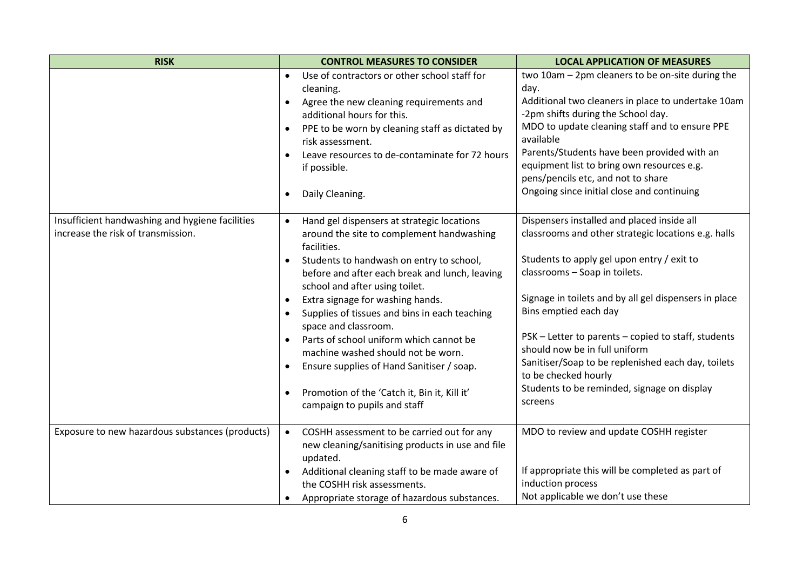| <b>RISK</b>                                                                           | <b>CONTROL MEASURES TO CONSIDER</b>                                                                                                                                                                                                                                                                                                                                                                                                                                                                                                                                                                                                             | <b>LOCAL APPLICATION OF MEASURES</b>                                                                                                                                                                                                                                                                                                                                                                                                                                                               |
|---------------------------------------------------------------------------------------|-------------------------------------------------------------------------------------------------------------------------------------------------------------------------------------------------------------------------------------------------------------------------------------------------------------------------------------------------------------------------------------------------------------------------------------------------------------------------------------------------------------------------------------------------------------------------------------------------------------------------------------------------|----------------------------------------------------------------------------------------------------------------------------------------------------------------------------------------------------------------------------------------------------------------------------------------------------------------------------------------------------------------------------------------------------------------------------------------------------------------------------------------------------|
|                                                                                       | Use of contractors or other school staff for<br>$\bullet$<br>cleaning.<br>Agree the new cleaning requirements and<br>$\bullet$<br>additional hours for this.<br>PPE to be worn by cleaning staff as dictated by<br>risk assessment.<br>Leave resources to de-contaminate for 72 hours<br>if possible.<br>Daily Cleaning.<br>$\bullet$                                                                                                                                                                                                                                                                                                           | two 10am - 2pm cleaners to be on-site during the<br>day.<br>Additional two cleaners in place to undertake 10am<br>-2pm shifts during the School day.<br>MDO to update cleaning staff and to ensure PPE<br>available<br>Parents/Students have been provided with an<br>equipment list to bring own resources e.g.<br>pens/pencils etc, and not to share<br>Ongoing since initial close and continuing                                                                                               |
| Insufficient handwashing and hygiene facilities<br>increase the risk of transmission. | Hand gel dispensers at strategic locations<br>$\bullet$<br>around the site to complement handwashing<br>facilities.<br>Students to handwash on entry to school,<br>$\bullet$<br>before and after each break and lunch, leaving<br>school and after using toilet.<br>Extra signage for washing hands.<br>$\bullet$<br>Supplies of tissues and bins in each teaching<br>$\bullet$<br>space and classroom.<br>Parts of school uniform which cannot be<br>$\bullet$<br>machine washed should not be worn.<br>Ensure supplies of Hand Sanitiser / soap.<br>Promotion of the 'Catch it, Bin it, Kill it'<br>$\bullet$<br>campaign to pupils and staff | Dispensers installed and placed inside all<br>classrooms and other strategic locations e.g. halls<br>Students to apply gel upon entry / exit to<br>classrooms - Soap in toilets.<br>Signage in toilets and by all gel dispensers in place<br>Bins emptied each day<br>PSK – Letter to parents – copied to staff, students<br>should now be in full uniform<br>Sanitiser/Soap to be replenished each day, toilets<br>to be checked hourly<br>Students to be reminded, signage on display<br>screens |
| Exposure to new hazardous substances (products)                                       | COSHH assessment to be carried out for any<br>$\bullet$<br>new cleaning/sanitising products in use and file<br>updated.<br>Additional cleaning staff to be made aware of<br>the COSHH risk assessments.<br>Appropriate storage of hazardous substances.<br>٠                                                                                                                                                                                                                                                                                                                                                                                    | MDO to review and update COSHH register<br>If appropriate this will be completed as part of<br>induction process<br>Not applicable we don't use these                                                                                                                                                                                                                                                                                                                                              |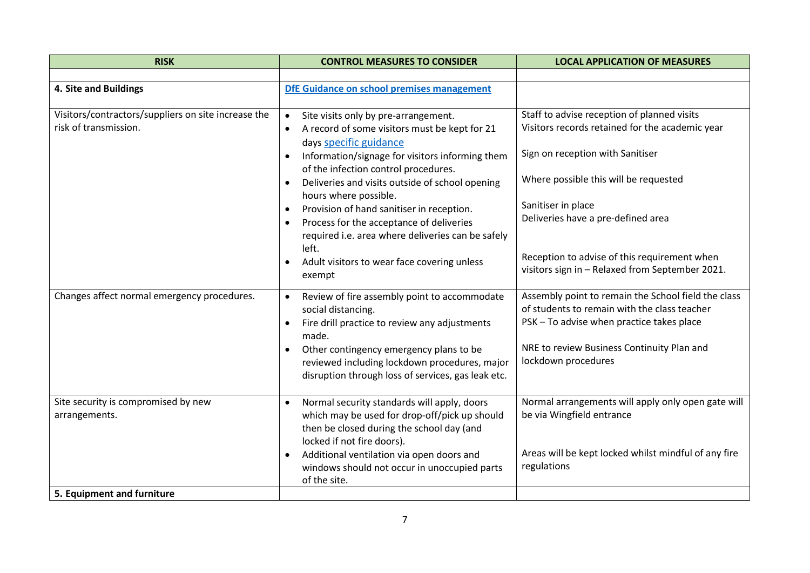| <b>RISK</b>                                                                        | <b>CONTROL MEASURES TO CONSIDER</b>                                                                                                                                                                                                                                                                                                                                                                                                                                                                                                                                                  | <b>LOCAL APPLICATION OF MEASURES</b>                                                                                                                                                                                                                                                                                                       |
|------------------------------------------------------------------------------------|--------------------------------------------------------------------------------------------------------------------------------------------------------------------------------------------------------------------------------------------------------------------------------------------------------------------------------------------------------------------------------------------------------------------------------------------------------------------------------------------------------------------------------------------------------------------------------------|--------------------------------------------------------------------------------------------------------------------------------------------------------------------------------------------------------------------------------------------------------------------------------------------------------------------------------------------|
|                                                                                    |                                                                                                                                                                                                                                                                                                                                                                                                                                                                                                                                                                                      |                                                                                                                                                                                                                                                                                                                                            |
| 4. Site and Buildings                                                              | DfE Guidance on school premises management                                                                                                                                                                                                                                                                                                                                                                                                                                                                                                                                           |                                                                                                                                                                                                                                                                                                                                            |
| Visitors/contractors/suppliers on site increase the<br>risk of transmission.       | Site visits only by pre-arrangement.<br>$\bullet$<br>A record of some visitors must be kept for 21<br>$\bullet$<br>days specific guidance<br>Information/signage for visitors informing them<br>of the infection control procedures.<br>Deliveries and visits outside of school opening<br>$\bullet$<br>hours where possible.<br>Provision of hand sanitiser in reception.<br>$\bullet$<br>Process for the acceptance of deliveries<br>$\bullet$<br>required i.e. area where deliveries can be safely<br>left.<br>Adult visitors to wear face covering unless<br>$\bullet$<br>exempt | Staff to advise reception of planned visits<br>Visitors records retained for the academic year<br>Sign on reception with Sanitiser<br>Where possible this will be requested<br>Sanitiser in place<br>Deliveries have a pre-defined area<br>Reception to advise of this requirement when<br>visitors sign in - Relaxed from September 2021. |
| Changes affect normal emergency procedures.                                        | Review of fire assembly point to accommodate<br>$\bullet$<br>social distancing.<br>Fire drill practice to review any adjustments<br>made.<br>Other contingency emergency plans to be<br>$\bullet$<br>reviewed including lockdown procedures, major<br>disruption through loss of services, gas leak etc.                                                                                                                                                                                                                                                                             | Assembly point to remain the School field the class<br>of students to remain with the class teacher<br>PSK - To advise when practice takes place<br>NRE to review Business Continuity Plan and<br>lockdown procedures                                                                                                                      |
| Site security is compromised by new<br>arrangements.<br>5. Equipment and furniture | Normal security standards will apply, doors<br>$\bullet$<br>which may be used for drop-off/pick up should<br>then be closed during the school day (and<br>locked if not fire doors).<br>Additional ventilation via open doors and<br>$\bullet$<br>windows should not occur in unoccupied parts<br>of the site.                                                                                                                                                                                                                                                                       | Normal arrangements will apply only open gate will<br>be via Wingfield entrance<br>Areas will be kept locked whilst mindful of any fire<br>regulations                                                                                                                                                                                     |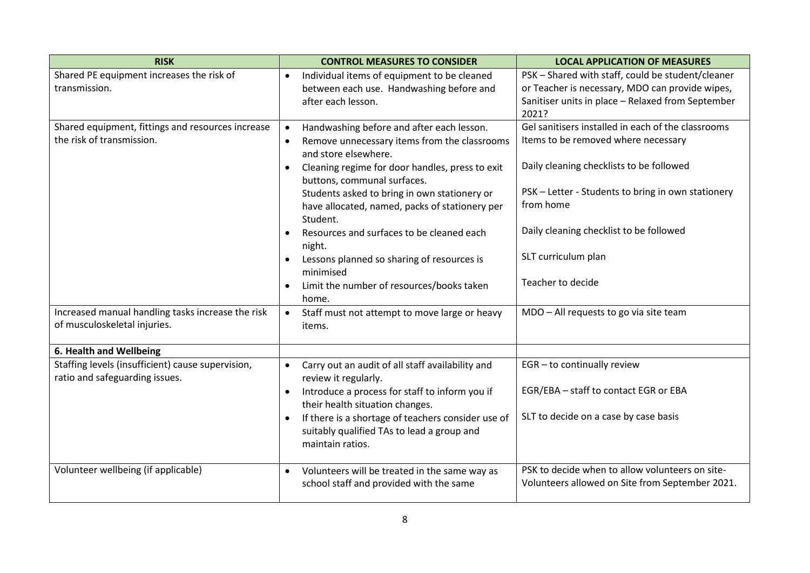| <b>RISK</b>                                                                         | <b>CONTROL MEASURES TO CONSIDER</b>                                                                                  | <b>LOCAL APPLICATION OF MEASURES</b>                                                                 |
|-------------------------------------------------------------------------------------|----------------------------------------------------------------------------------------------------------------------|------------------------------------------------------------------------------------------------------|
| Shared PE equipment increases the risk of<br>transmission.                          | Individual items of equipment to be cleaned<br>$\bullet$<br>between each use. Handwashing before and                 | PSK - Shared with staff, could be student/cleaner<br>or Teacher is necessary, MDO can provide wipes, |
|                                                                                     | after each lesson.                                                                                                   | Sanitiser units in place - Relaxed from September                                                    |
|                                                                                     |                                                                                                                      | 2021?                                                                                                |
| Shared equipment, fittings and resources increase                                   | Handwashing before and after each lesson.<br>$\bullet$                                                               | Gel sanitisers installed in each of the classrooms                                                   |
| the risk of transmission.                                                           | Remove unnecessary items from the classrooms<br>$\bullet$<br>and store elsewhere.                                    | Items to be removed where necessary                                                                  |
|                                                                                     | Cleaning regime for door handles, press to exit<br>buttons, communal surfaces.                                       | Daily cleaning checklists to be followed                                                             |
|                                                                                     | Students asked to bring in own stationery or                                                                         | PSK - Letter - Students to bring in own stationery                                                   |
|                                                                                     | have allocated, named, packs of stationery per<br>Student.                                                           | from home                                                                                            |
|                                                                                     | Resources and surfaces to be cleaned each<br>night.                                                                  | Daily cleaning checklist to be followed                                                              |
|                                                                                     | Lessons planned so sharing of resources is<br>$\bullet$<br>minimised                                                 | SLT curriculum plan                                                                                  |
|                                                                                     | Limit the number of resources/books taken<br>$\bullet$<br>home.                                                      | Teacher to decide                                                                                    |
| Increased manual handling tasks increase the risk<br>of musculoskeletal injuries.   | Staff must not attempt to move large or heavy<br>$\bullet$<br>items.                                                 | MDO - All requests to go via site team                                                               |
|                                                                                     |                                                                                                                      |                                                                                                      |
| 6. Health and Wellbeing                                                             |                                                                                                                      |                                                                                                      |
| Staffing levels (insufficient) cause supervision,<br>ratio and safeguarding issues. | Carry out an audit of all staff availability and<br>$\bullet$<br>review it regularly.                                | EGR - to continually review                                                                          |
|                                                                                     | Introduce a process for staff to inform you if<br>$\bullet$<br>their health situation changes.                       | EGR/EBA - staff to contact EGR or EBA                                                                |
|                                                                                     | If there is a shortage of teachers consider use of<br>suitably qualified TAs to lead a group and<br>maintain ratios. | SLT to decide on a case by case basis                                                                |
| Volunteer wellbeing (if applicable)                                                 | Volunteers will be treated in the same way as<br>$\bullet$<br>school staff and provided with the same                | PSK to decide when to allow volunteers on site-<br>Volunteers allowed on Site from September 2021.   |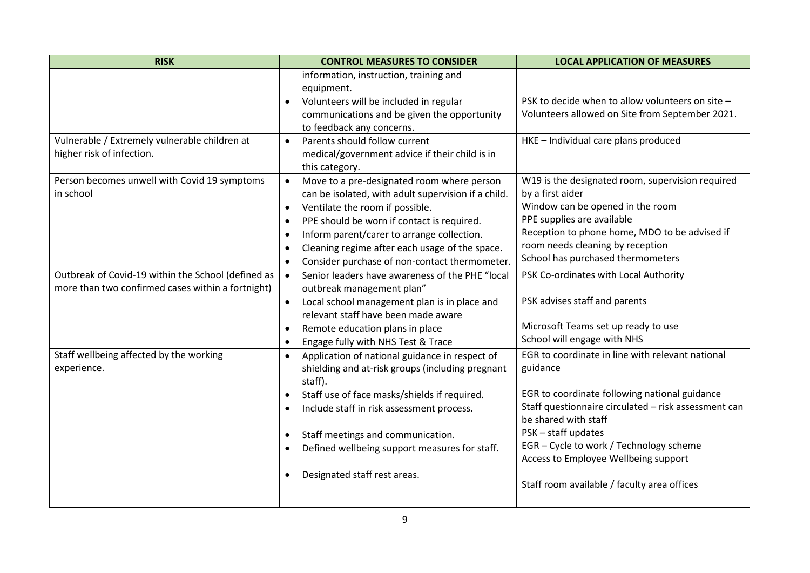| <b>RISK</b>                                                                | <b>CONTROL MEASURES TO CONSIDER</b>                                                                                        | <b>LOCAL APPLICATION OF MEASURES</b>                         |
|----------------------------------------------------------------------------|----------------------------------------------------------------------------------------------------------------------------|--------------------------------------------------------------|
|                                                                            | information, instruction, training and<br>equipment.                                                                       |                                                              |
|                                                                            | Volunteers will be included in regular                                                                                     | PSK to decide when to allow volunteers on site -             |
|                                                                            | communications and be given the opportunity<br>to feedback any concerns.                                                   | Volunteers allowed on Site from September 2021.              |
| Vulnerable / Extremely vulnerable children at<br>higher risk of infection. | Parents should follow current<br>$\bullet$<br>medical/government advice if their child is in<br>this category.             | HKE - Individual care plans produced                         |
| Person becomes unwell with Covid 19 symptoms                               | Move to a pre-designated room where person                                                                                 | W19 is the designated room, supervision required             |
| in school                                                                  | can be isolated, with adult supervision if a child.                                                                        | by a first aider                                             |
|                                                                            | Ventilate the room if possible.<br>$\bullet$                                                                               | Window can be opened in the room                             |
|                                                                            | PPE should be worn if contact is required.<br>$\bullet$                                                                    | PPE supplies are available                                   |
|                                                                            | Inform parent/carer to arrange collection.<br>$\bullet$                                                                    | Reception to phone home, MDO to be advised if                |
|                                                                            | Cleaning regime after each usage of the space.<br>$\bullet$                                                                | room needs cleaning by reception                             |
|                                                                            | Consider purchase of non-contact thermometer.<br>$\bullet$                                                                 | School has purchased thermometers                            |
| Outbreak of Covid-19 within the School (defined as                         | Senior leaders have awareness of the PHE "local<br>$\bullet$                                                               | PSK Co-ordinates with Local Authority                        |
| more than two confirmed cases within a fortnight)                          | outbreak management plan"                                                                                                  |                                                              |
|                                                                            | Local school management plan is in place and                                                                               | PSK advises staff and parents                                |
|                                                                            | relevant staff have been made aware                                                                                        |                                                              |
|                                                                            | Remote education plans in place<br>$\bullet$                                                                               | Microsoft Teams set up ready to use                          |
|                                                                            | Engage fully with NHS Test & Trace<br>$\bullet$                                                                            | School will engage with NHS                                  |
| Staff wellbeing affected by the working<br>experience.                     | Application of national guidance in respect of<br>$\bullet$<br>shielding and at-risk groups (including pregnant<br>staff). | EGR to coordinate in line with relevant national<br>guidance |
|                                                                            | Staff use of face masks/shields if required.<br>$\bullet$                                                                  | EGR to coordinate following national guidance                |
|                                                                            | Include staff in risk assessment process.<br>$\bullet$                                                                     | Staff questionnaire circulated - risk assessment can         |
|                                                                            |                                                                                                                            | be shared with staff                                         |
|                                                                            | Staff meetings and communication.<br>$\bullet$                                                                             | PSK-staff updates                                            |
|                                                                            | Defined wellbeing support measures for staff.<br>$\bullet$                                                                 | EGR - Cycle to work / Technology scheme                      |
|                                                                            |                                                                                                                            | Access to Employee Wellbeing support                         |
|                                                                            | Designated staff rest areas.<br>$\bullet$                                                                                  | Staff room available / faculty area offices                  |
|                                                                            |                                                                                                                            |                                                              |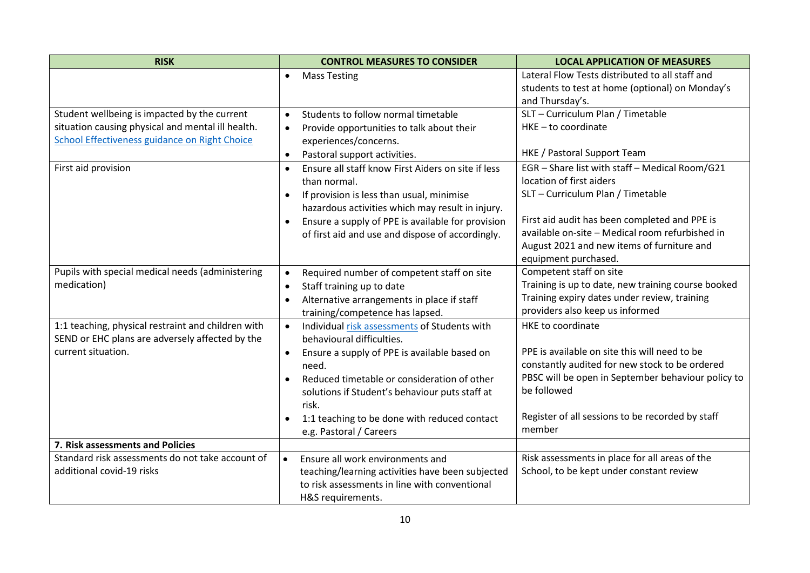| <b>RISK</b>                                                     | <b>CONTROL MEASURES TO CONSIDER</b>                                                          | <b>LOCAL APPLICATION OF MEASURES</b>                                          |
|-----------------------------------------------------------------|----------------------------------------------------------------------------------------------|-------------------------------------------------------------------------------|
|                                                                 | <b>Mass Testing</b><br>$\bullet$                                                             | Lateral Flow Tests distributed to all staff and                               |
|                                                                 |                                                                                              | students to test at home (optional) on Monday's                               |
|                                                                 |                                                                                              | and Thursday's.                                                               |
| Student wellbeing is impacted by the current                    | Students to follow normal timetable<br>$\bullet$                                             | SLT - Curriculum Plan / Timetable                                             |
| situation causing physical and mental ill health.               | Provide opportunities to talk about their<br>$\bullet$                                       | $HKE - to coordinate$                                                         |
| School Effectiveness guidance on Right Choice                   | experiences/concerns.                                                                        |                                                                               |
|                                                                 | Pastoral support activities.<br>$\bullet$                                                    | HKE / Pastoral Support Team                                                   |
| First aid provision                                             | Ensure all staff know First Aiders on site if less                                           | EGR - Share list with staff - Medical Room/G21                                |
|                                                                 | than normal.                                                                                 | location of first aiders                                                      |
|                                                                 | If provision is less than usual, minimise<br>$\bullet$                                       | SLT - Curriculum Plan / Timetable                                             |
|                                                                 | hazardous activities which may result in injury.                                             |                                                                               |
|                                                                 | Ensure a supply of PPE is available for provision                                            | First aid audit has been completed and PPE is                                 |
|                                                                 | of first aid and use and dispose of accordingly.                                             | available on-site - Medical room refurbished in                               |
|                                                                 |                                                                                              | August 2021 and new items of furniture and                                    |
|                                                                 |                                                                                              | equipment purchased.                                                          |
| Pupils with special medical needs (administering<br>medication) | Required number of competent staff on site<br>$\bullet$                                      | Competent staff on site<br>Training is up to date, new training course booked |
|                                                                 | Staff training up to date<br>$\bullet$                                                       | Training expiry dates under review, training                                  |
|                                                                 | Alternative arrangements in place if staff<br>$\bullet$                                      | providers also keep us informed                                               |
| 1:1 teaching, physical restraint and children with              | training/competence has lapsed.<br>Individual risk assessments of Students with<br>$\bullet$ | HKE to coordinate                                                             |
| SEND or EHC plans are adversely affected by the                 | behavioural difficulties.                                                                    |                                                                               |
| current situation.                                              | Ensure a supply of PPE is available based on<br>$\bullet$                                    | PPE is available on site this will need to be                                 |
|                                                                 | need.                                                                                        | constantly audited for new stock to be ordered                                |
|                                                                 | Reduced timetable or consideration of other                                                  | PBSC will be open in September behaviour policy to                            |
|                                                                 | solutions if Student's behaviour puts staff at                                               | be followed                                                                   |
|                                                                 | risk.                                                                                        |                                                                               |
|                                                                 | 1:1 teaching to be done with reduced contact                                                 | Register of all sessions to be recorded by staff                              |
|                                                                 | e.g. Pastoral / Careers                                                                      | member                                                                        |
| 7. Risk assessments and Policies                                |                                                                                              |                                                                               |
| Standard risk assessments do not take account of                | Ensure all work environments and<br>$\bullet$                                                | Risk assessments in place for all areas of the                                |
| additional covid-19 risks                                       | teaching/learning activities have been subjected                                             | School, to be kept under constant review                                      |
|                                                                 | to risk assessments in line with conventional                                                |                                                                               |
|                                                                 | H&S requirements.                                                                            |                                                                               |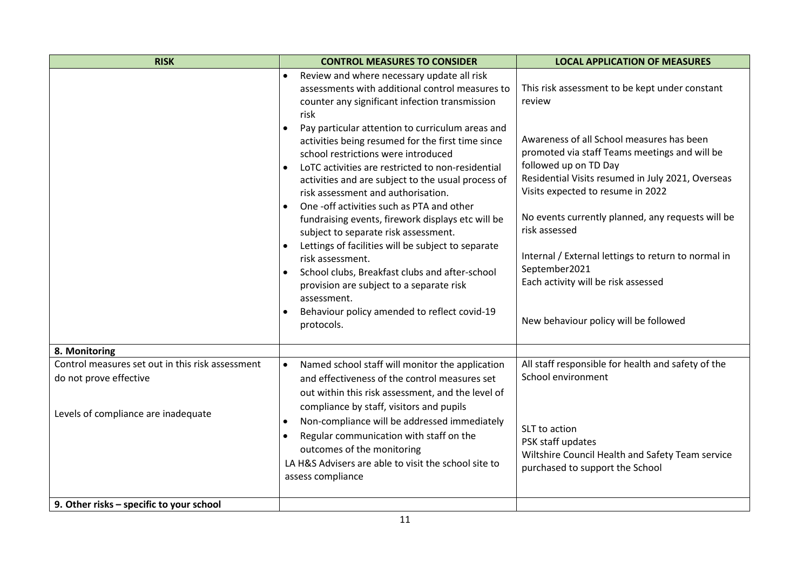| <b>RISK</b>                                                                                                       | <b>CONTROL MEASURES TO CONSIDER</b>                                                                                                                                                                                                                                                                                                                                                                                                                                                                                                                                                 | <b>LOCAL APPLICATION OF MEASURES</b>                                                                                                                                                                                                                                                                                                          |
|-------------------------------------------------------------------------------------------------------------------|-------------------------------------------------------------------------------------------------------------------------------------------------------------------------------------------------------------------------------------------------------------------------------------------------------------------------------------------------------------------------------------------------------------------------------------------------------------------------------------------------------------------------------------------------------------------------------------|-----------------------------------------------------------------------------------------------------------------------------------------------------------------------------------------------------------------------------------------------------------------------------------------------------------------------------------------------|
|                                                                                                                   | Review and where necessary update all risk<br>$\bullet$<br>assessments with additional control measures to<br>counter any significant infection transmission<br>risk<br>Pay particular attention to curriculum areas and<br>activities being resumed for the first time since<br>school restrictions were introduced                                                                                                                                                                                                                                                                | This risk assessment to be kept under constant<br>review<br>Awareness of all School measures has been<br>promoted via staff Teams meetings and will be                                                                                                                                                                                        |
|                                                                                                                   | LoTC activities are restricted to non-residential<br>activities and are subject to the usual process of<br>risk assessment and authorisation.<br>One -off activities such as PTA and other<br>$\bullet$<br>fundraising events, firework displays etc will be<br>subject to separate risk assessment.<br>Lettings of facilities will be subject to separate<br>$\bullet$<br>risk assessment.<br>School clubs, Breakfast clubs and after-school<br>$\bullet$<br>provision are subject to a separate risk<br>assessment.<br>Behaviour policy amended to reflect covid-19<br>protocols. | followed up on TD Day<br>Residential Visits resumed in July 2021, Overseas<br>Visits expected to resume in 2022<br>No events currently planned, any requests will be<br>risk assessed<br>Internal / External lettings to return to normal in<br>September2021<br>Each activity will be risk assessed<br>New behaviour policy will be followed |
| 8. Monitoring                                                                                                     |                                                                                                                                                                                                                                                                                                                                                                                                                                                                                                                                                                                     |                                                                                                                                                                                                                                                                                                                                               |
| Control measures set out in this risk assessment<br>do not prove effective<br>Levels of compliance are inadequate | Named school staff will monitor the application<br>$\bullet$<br>and effectiveness of the control measures set<br>out within this risk assessment, and the level of<br>compliance by staff, visitors and pupils<br>Non-compliance will be addressed immediately<br>Regular communication with staff on the<br>$\bullet$<br>outcomes of the monitoring<br>LA H&S Advisers are able to visit the school site to<br>assess compliance                                                                                                                                                   | All staff responsible for health and safety of the<br>School environment<br>SLT to action<br>PSK staff updates<br>Wiltshire Council Health and Safety Team service<br>purchased to support the School                                                                                                                                         |
| 9. Other risks - specific to your school                                                                          |                                                                                                                                                                                                                                                                                                                                                                                                                                                                                                                                                                                     |                                                                                                                                                                                                                                                                                                                                               |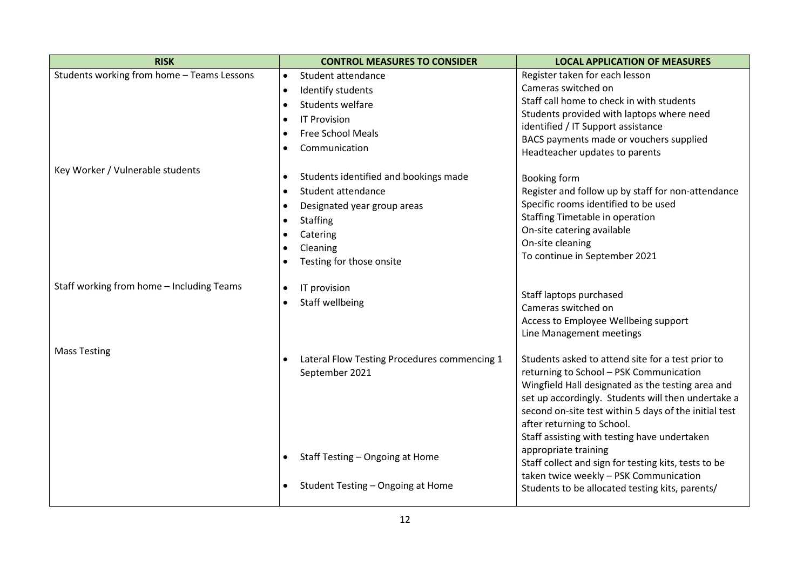| <b>RISK</b>                                | <b>CONTROL MEASURES TO CONSIDER</b>                                                                                                                                                        | <b>LOCAL APPLICATION OF MEASURES</b>                                                                                                                                                                                                                                                                                                                                                                                                                                     |
|--------------------------------------------|--------------------------------------------------------------------------------------------------------------------------------------------------------------------------------------------|--------------------------------------------------------------------------------------------------------------------------------------------------------------------------------------------------------------------------------------------------------------------------------------------------------------------------------------------------------------------------------------------------------------------------------------------------------------------------|
| Students working from home - Teams Lessons | Student attendance<br>$\bullet$                                                                                                                                                            | Register taken for each lesson                                                                                                                                                                                                                                                                                                                                                                                                                                           |
|                                            | Identify students<br>$\bullet$                                                                                                                                                             | Cameras switched on                                                                                                                                                                                                                                                                                                                                                                                                                                                      |
|                                            | Students welfare<br>$\bullet$                                                                                                                                                              | Staff call home to check in with students                                                                                                                                                                                                                                                                                                                                                                                                                                |
|                                            | <b>IT Provision</b><br>$\bullet$                                                                                                                                                           | Students provided with laptops where need                                                                                                                                                                                                                                                                                                                                                                                                                                |
|                                            | <b>Free School Meals</b><br>$\bullet$                                                                                                                                                      | identified / IT Support assistance                                                                                                                                                                                                                                                                                                                                                                                                                                       |
|                                            | Communication<br>$\bullet$                                                                                                                                                                 | BACS payments made or vouchers supplied<br>Headteacher updates to parents                                                                                                                                                                                                                                                                                                                                                                                                |
| Key Worker / Vulnerable students           | Students identified and bookings made<br>$\bullet$<br>Student attendance<br>$\bullet$<br>Designated year group areas<br>$\bullet$<br><b>Staffing</b><br>$\bullet$<br>Catering<br>$\bullet$ | <b>Booking form</b><br>Register and follow up by staff for non-attendance<br>Specific rooms identified to be used<br>Staffing Timetable in operation<br>On-site catering available<br>On-site cleaning                                                                                                                                                                                                                                                                   |
|                                            | Cleaning<br>$\bullet$<br>Testing for those onsite<br>٠                                                                                                                                     | To continue in September 2021                                                                                                                                                                                                                                                                                                                                                                                                                                            |
| Staff working from home - Including Teams  | IT provision<br>$\bullet$<br>Staff wellbeing<br>$\bullet$                                                                                                                                  | Staff laptops purchased<br>Cameras switched on<br>Access to Employee Wellbeing support<br>Line Management meetings                                                                                                                                                                                                                                                                                                                                                       |
| <b>Mass Testing</b>                        | Lateral Flow Testing Procedures commencing 1<br>$\bullet$<br>September 2021<br>Staff Testing - Ongoing at Home                                                                             | Students asked to attend site for a test prior to<br>returning to School - PSK Communication<br>Wingfield Hall designated as the testing area and<br>set up accordingly. Students will then undertake a<br>second on-site test within 5 days of the initial test<br>after returning to School.<br>Staff assisting with testing have undertaken<br>appropriate training<br>Staff collect and sign for testing kits, tests to be<br>taken twice weekly - PSK Communication |
|                                            | Student Testing - Ongoing at Home<br>$\bullet$                                                                                                                                             | Students to be allocated testing kits, parents/                                                                                                                                                                                                                                                                                                                                                                                                                          |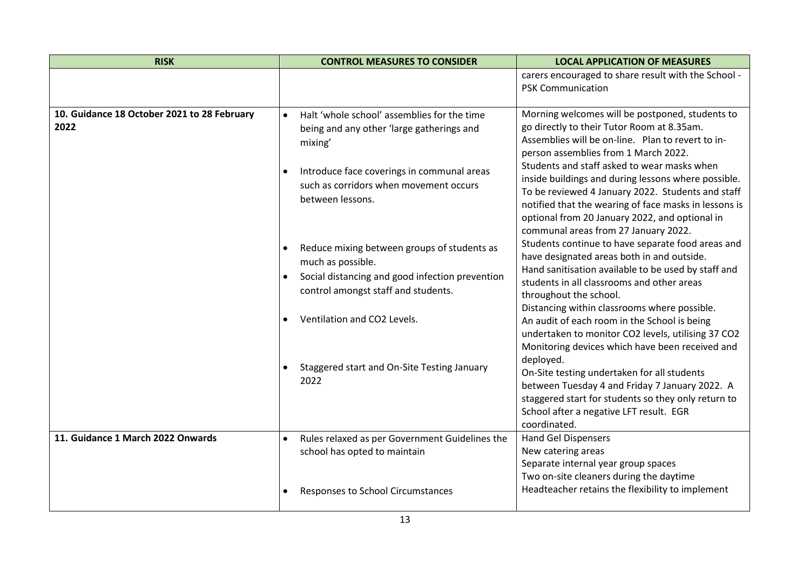| <b>RISK</b>                                                                                                        | <b>CONTROL MEASURES TO CONSIDER</b>                                                                                                                                                                  | <b>LOCAL APPLICATION OF MEASURES</b>                                                                                                                                                                                                                                                                                                                                                                                                                                                                                                                          |
|--------------------------------------------------------------------------------------------------------------------|------------------------------------------------------------------------------------------------------------------------------------------------------------------------------------------------------|---------------------------------------------------------------------------------------------------------------------------------------------------------------------------------------------------------------------------------------------------------------------------------------------------------------------------------------------------------------------------------------------------------------------------------------------------------------------------------------------------------------------------------------------------------------|
|                                                                                                                    |                                                                                                                                                                                                      | carers encouraged to share result with the School -<br><b>PSK Communication</b>                                                                                                                                                                                                                                                                                                                                                                                                                                                                               |
| 10. Guidance 18 October 2021 to 28 February<br>$\bullet$<br>2022<br>mixing'<br>٠<br>$\bullet$<br>$\bullet$<br>2022 | Halt 'whole school' assemblies for the time<br>being and any other 'large gatherings and<br>Introduce face coverings in communal areas<br>such as corridors when movement occurs<br>between lessons. | Morning welcomes will be postponed, students to<br>go directly to their Tutor Room at 8.35am.<br>Assemblies will be on-line. Plan to revert to in-<br>person assemblies from 1 March 2022.<br>Students and staff asked to wear masks when<br>inside buildings and during lessons where possible.<br>To be reviewed 4 January 2022. Students and staff<br>notified that the wearing of face masks in lessons is<br>optional from 20 January 2022, and optional in<br>communal areas from 27 January 2022.<br>Students continue to have separate food areas and |
|                                                                                                                    | Reduce mixing between groups of students as<br>much as possible.<br>Social distancing and good infection prevention<br>control amongst staff and students.<br>Ventilation and CO2 Levels.            | have designated areas both in and outside.<br>Hand sanitisation available to be used by staff and<br>students in all classrooms and other areas<br>throughout the school.<br>Distancing within classrooms where possible.<br>An audit of each room in the School is being<br>undertaken to monitor CO2 levels, utilising 37 CO2<br>Monitoring devices which have been received and                                                                                                                                                                            |
|                                                                                                                    | Staggered start and On-Site Testing January                                                                                                                                                          | deployed.<br>On-Site testing undertaken for all students<br>between Tuesday 4 and Friday 7 January 2022. A<br>staggered start for students so they only return to<br>School after a negative LFT result. EGR<br>coordinated.                                                                                                                                                                                                                                                                                                                                  |
| 11. Guidance 1 March 2022 Onwards                                                                                  | Rules relaxed as per Government Guidelines the<br>$\bullet$<br>school has opted to maintain                                                                                                          | <b>Hand Gel Dispensers</b><br>New catering areas<br>Separate internal year group spaces<br>Two on-site cleaners during the daytime                                                                                                                                                                                                                                                                                                                                                                                                                            |
|                                                                                                                    | Responses to School Circumstances                                                                                                                                                                    | Headteacher retains the flexibility to implement                                                                                                                                                                                                                                                                                                                                                                                                                                                                                                              |